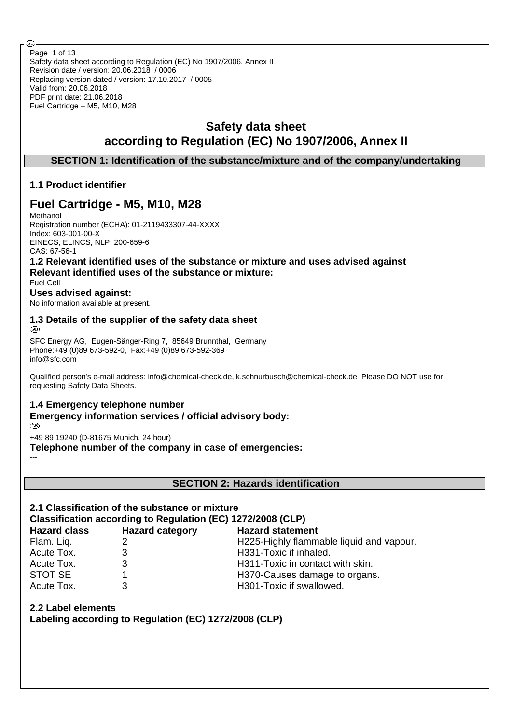Safety data sheet according to Regulation (EC) No 1907/2006, Annex II Revision date / version: 20.06.2018 / 0006 Replacing version dated / version: 17.10.2017 / 0005 Valid from: 20.06.2018 PDF print date: 21.06.2018 Fuel Cartridge – M5, M10, M28 Page 1 of 13

# **Safety data sheet according to Regulation (EC) No 1907/2006, Annex II**

**SECTION 1: Identification of the substance/mixture and of the company/undertaking**

## **1.1 Product identifier**

# **Fuel Cartridge - M5, M10, M28**

**Methanol** Registration number (ECHA): 01-2119433307-44-XXXX Index: 603-001-00-X EINECS, ELINCS, NLP: 200-659-6 CAS: 67-56-1

**1.2 Relevant identified uses of the substance or mixture and uses advised against Relevant identified uses of the substance or mixture:**

Fuel Cell

## **Uses advised against:**

No information available at present.

## **1.3 Details of the supplier of the safety data sheet**

@

SFC Energy AG, Eugen-Sänger-Ring 7, 85649 Brunnthal, Germany Phone:+49 (0)89 673-592-0, Fax:+49 (0)89 673-592-369 info@sfc.com

Qualified person's e-mail address: info@chemical-check.de, k.schnurbusch@chemical-check.de Please DO NOT use for requesting Safety Data Sheets.

## **1.4 Emergency telephone number**

**Emergency information services / official advisory body:**

അ

---

+49 89 19240 (D-81675 Munich, 24 hour)

**Telephone number of the company in case of emergencies:**

**SECTION 2: Hazards identification**

# **2.1 Classification of the substance or mixture**

**Classification according to Regulation (EC) 1272/2008 (CLP)**

| <b>Hazard class</b> | <b>Hazard category</b> | <b>Hazard statement</b>                  |
|---------------------|------------------------|------------------------------------------|
| Flam. Liq.          |                        | H225-Highly flammable liquid and vapour. |
| Acute Tox.          | 3                      | H331-Toxic if inhaled.                   |
| Acute Tox.          | 3                      | H311-Toxic in contact with skin.         |
| STOT SE             |                        | H370-Causes damage to organs.            |
| Acute Tox.          | 3                      | H301-Toxic if swallowed.                 |

# **2.2 Label elements**

**Labeling according to Regulation (EC) 1272/2008 (CLP)**

Œ.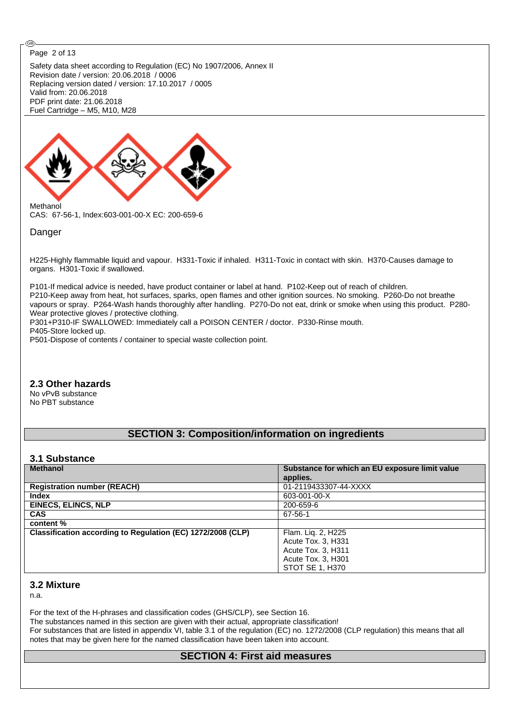#### Page 2 of 13

@

Safety data sheet according to Regulation (EC) No 1907/2006, Annex II Revision date / version: 20.06.2018 / 0006 Replacing version dated / version: 17.10.2017 / 0005 Valid from: 20.06.2018 PDF print date: 21.06.2018 Fuel Cartridge – M5, M10, M28



CAS: 67-56-1, Index:603-001-00-X EC: 200-659-6

### Danger

H225-Highly flammable liquid and vapour. H331-Toxic if inhaled. H311-Toxic in contact with skin. H370-Causes damage to organs. H301-Toxic if swallowed.

P101-If medical advice is needed, have product container or label at hand. P102-Keep out of reach of children. P210-Keep away from heat, hot surfaces, sparks, open flames and other ignition sources. No smoking. P260-Do not breathe vapours or spray. P264-Wash hands thoroughly after handling. P270-Do not eat, drink or smoke when using this product. P280- Wear protective gloves / protective clothing.

P301+P310-IF SWALLOWED: Immediately call a POISON CENTER / doctor. P330-Rinse mouth.

P405-Store locked up.

P501-Dispose of contents / container to special waste collection point.

### **2.3 Other hazards**

No vPvB substance No PBT substance

## **SECTION 3: Composition/information on ingredients**

### **3.1 Substance**

| <b>Methanol</b>                                             | Substance for which an EU exposure limit value |
|-------------------------------------------------------------|------------------------------------------------|
|                                                             | applies.                                       |
| <b>Registration number (REACH)</b>                          | 01-2119433307-44-XXXX                          |
| <b>Index</b>                                                | 603-001-00-X                                   |
| <b>EINECS, ELINCS, NLP</b>                                  | 200-659-6                                      |
| <b>CAS</b>                                                  | 67-56-1                                        |
| content %                                                   |                                                |
| Classification according to Regulation (EC) 1272/2008 (CLP) | Flam. Liq. 2, H225                             |
|                                                             | Acute Tox. 3, H331                             |
|                                                             | Acute Tox. 3, H311                             |
|                                                             | Acute Tox. 3, H301                             |
|                                                             | STOT SE 1, H370                                |

### **3.2 Mixture**

n.a.

For the text of the H-phrases and classification codes (GHS/CLP), see Section 16. The substances named in this section are given with their actual, appropriate classification! For substances that are listed in appendix VI, table 3.1 of the regulation (EC) no. 1272/2008 (CLP regulation) this means that all notes that may be given here for the named classification have been taken into account.

## **SECTION 4: First aid measures**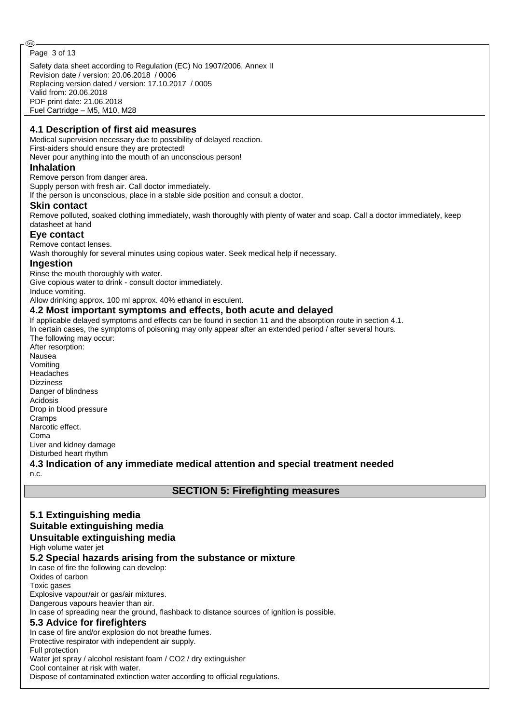#### Œ. Page 3 of 13

Safety data sheet according to Regulation (EC) No 1907/2006, Annex II Revision date / version: 20.06.2018 / 0006 Replacing version dated / version: 17.10.2017 / 0005 Valid from: 20.06.2018 PDF print date: 21.06.2018 Fuel Cartridge – M5, M10, M28

## **4.1 Description of first aid measures**

Medical supervision necessary due to possibility of delayed reaction. First-aiders should ensure they are protected! Never pour anything into the mouth of an unconscious person!

### **Inhalation**

Remove person from danger area.

Supply person with fresh air. Call doctor immediately.

If the person is unconscious, place in a stable side position and consult a doctor.

### **Skin contact**

Remove polluted, soaked clothing immediately, wash thoroughly with plenty of water and soap. Call a doctor immediately, keep datasheet at hand

### **Eye contact**

Remove contact lenses.

Wash thoroughly for several minutes using copious water. Seek medical help if necessary.

### **Ingestion**

Rinse the mouth thoroughly with water.

Give copious water to drink - consult doctor immediately.

Induce vomiting.

Allow drinking approx. 100 ml approx. 40% ethanol in esculent.

### **4.2 Most important symptoms and effects, both acute and delayed**

If applicable delayed symptoms and effects can be found in section 11 and the absorption route in section 4.1. In certain cases, the symptoms of poisoning may only appear after an extended period / after several hours. The following may occur:

After resorption: Nausea Vomiting Headaches Dizziness Danger of blindness Acidosis Drop in blood pressure Cramps Narcotic effect. Coma Liver and kidney damage Disturbed heart rhythm

**4.3 Indication of any immediate medical attention and special treatment needed** n.c.

## **SECTION 5: Firefighting measures**

## **5.1 Extinguishing media Suitable extinguishing media Unsuitable extinguishing media**

High volume water jet

### **5.2 Special hazards arising from the substance or mixture**

In case of fire the following can develop: Oxides of carbon Toxic gases Explosive vapour/air or gas/air mixtures. Dangerous vapours heavier than air. In case of spreading near the ground, flashback to distance sources of ignition is possible. **5.3 Advice for firefighters** In case of fire and/or explosion do not breathe fumes. Protective respirator with independent air supply. Full protection Water jet spray / alcohol resistant foam / CO2 / dry extinguisher

Cool container at risk with water.

Dispose of contaminated extinction water according to official regulations.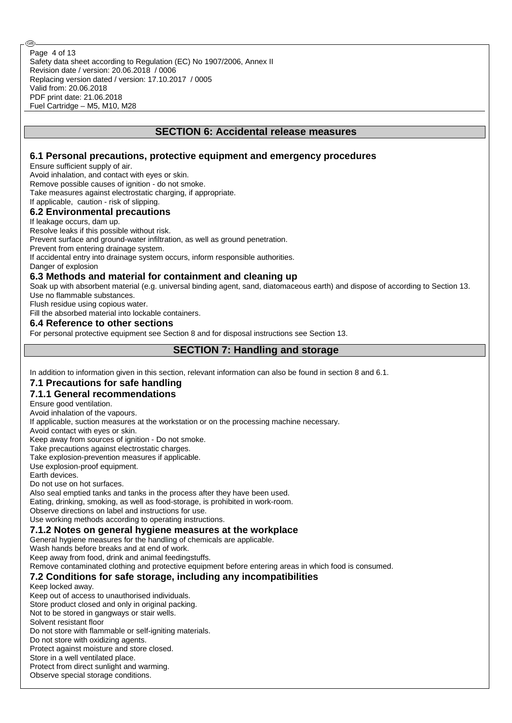#### Safety data sheet according to Regulation (EC) No 1907/2006, Annex II Revision date / version: 20.06.2018 / 0006 Replacing version dated / version: 17.10.2017 / 0005 Valid from: 20.06.2018 PDF print date: 21.06.2018 Fuel Cartridge – M5, M10, M28 Page 4 of 13

## **SECTION 6: Accidental release measures**

## **6.1 Personal precautions, protective equipment and emergency procedures**

Ensure sufficient supply of air.

@

Avoid inhalation, and contact with eyes or skin.

Remove possible causes of ignition - do not smoke.

Take measures against electrostatic charging, if appropriate.

If applicable, caution - risk of slipping.

### **6.2 Environmental precautions**

If leakage occurs, dam up.

Resolve leaks if this possible without risk.

Prevent surface and ground-water infiltration, as well as ground penetration.

Prevent from entering drainage system.

If accidental entry into drainage system occurs, inform responsible authorities.

Danger of explosion

## **6.3 Methods and material for containment and cleaning up**

Soak up with absorbent material (e.g. universal binding agent, sand, diatomaceous earth) and dispose of according to Section 13. Use no flammable substances.

Flush residue using copious water.

Fill the absorbed material into lockable containers.

### **6.4 Reference to other sections**

For personal protective equipment see Section 8 and for disposal instructions see Section 13.

## **SECTION 7: Handling and storage**

In addition to information given in this section, relevant information can also be found in section 8 and 6.1.

## **7.1 Precautions for safe handling**

## **7.1.1 General recommendations**

Ensure good ventilation.

Avoid inhalation of the vapours.

If applicable, suction measures at the workstation or on the processing machine necessary.

Avoid contact with eyes or skin.

Keep away from sources of ignition - Do not smoke.

Take precautions against electrostatic charges.

Take explosion-prevention measures if applicable. Use explosion-proof equipment.

Earth devices.

Do not use on hot surfaces.

Also seal emptied tanks and tanks in the process after they have been used. Eating, drinking, smoking, as well as food-storage, is prohibited in work-room. Observe directions on label and instructions for use.

Use working methods according to operating instructions.

## **7.1.2 Notes on general hygiene measures at the workplace**

General hygiene measures for the handling of chemicals are applicable.

Wash hands before breaks and at end of work.

Keep away from food, drink and animal feedingstuffs.

Remove contaminated clothing and protective equipment before entering areas in which food is consumed.

## **7.2 Conditions for safe storage, including any incompatibilities**

## Keep locked away.

Keep out of access to unauthorised individuals.

Store product closed and only in original packing.

Not to be stored in gangways or stair wells. Solvent resistant floor

Do not store with flammable or self-igniting materials. Do not store with oxidizing agents.

Protect against moisture and store closed.

Store in a well ventilated place.

Protect from direct sunlight and warming.

Observe special storage conditions.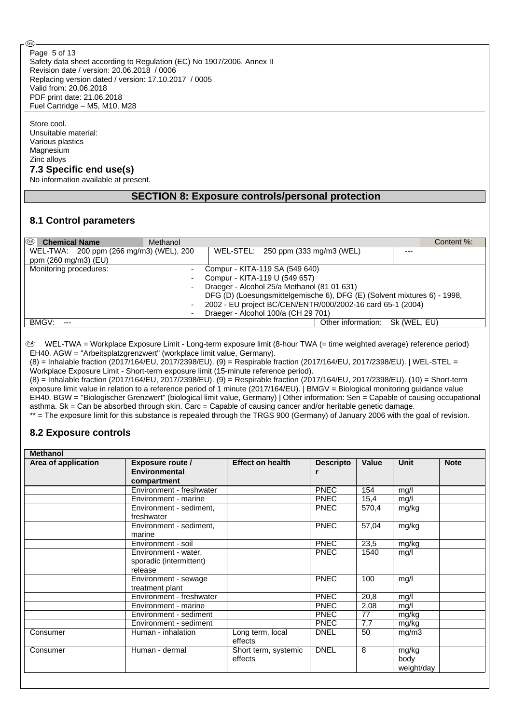Safety data sheet according to Regulation (EC) No 1907/2006, Annex II Revision date / version: 20.06.2018 / 0006 Replacing version dated / version: 17.10.2017 / 0005 Valid from: 20.06.2018 PDF print date: 21.06.2018 Fuel Cartridge – M5, M10, M28 Page 5 of 13

Store cool. Unsuitable material: Various plastics Magnesium Zinc alloys **7.3 Specific end use(s)**

@

No information available at present.

## **SECTION 8: Exposure controls/personal protection**

## **8.1 Control parameters**

| $\circledcirc$ I<br><b>Chemical Name</b> | Methanol |                                                                          |     | Content %: |  |  |
|------------------------------------------|----------|--------------------------------------------------------------------------|-----|------------|--|--|
| WEL-TWA: 200 ppm (266 mg/m3) (WEL), 200  |          | WEL-STEL: 250 ppm (333 mg/m3 (WEL)                                       | --- |            |  |  |
| ppm (260 mg/m3) (EU)                     |          |                                                                          |     |            |  |  |
| Monitoring procedures:                   |          | Compur - KITA-119 SA (549 640)                                           |     |            |  |  |
|                                          | $\sim$   | Compur - KITA-119 U (549 657)                                            |     |            |  |  |
|                                          | ۰        | Draeger - Alcohol 25/a Methanol (81 01 631)                              |     |            |  |  |
|                                          |          | DFG (D) (Loesungsmittelgemische 6), DFG (E) (Solvent mixtures 6) - 1998, |     |            |  |  |
|                                          | ۰        | 2002 - EU project BC/CEN/ENTR/000/2002-16 card 65-1 (2004)               |     |            |  |  |
|                                          |          | Draeger - Alcohol 100/a (CH 29 701)                                      |     |            |  |  |
| BMGV:<br>$---$                           |          | Other information: Sk (WEL, EU)                                          |     |            |  |  |

 WEL-TWA = Workplace Exposure Limit - Long-term exposure limit (8-hour TWA (= time weighted average) reference period) EH40. AGW = "Arbeitsplatzgrenzwert" (workplace limit value, Germany).

(8) = Inhalable fraction (2017/164/EU, 2017/2398/EU). (9) = Respirable fraction (2017/164/EU, 2017/2398/EU). | WEL-STEL = Workplace Exposure Limit - Short-term exposure limit (15-minute reference period).

(8) = Inhalable fraction (2017/164/EU, 2017/2398/EU). (9) = Respirable fraction (2017/164/EU, 2017/2398/EU). (10) = Short-term exposure limit value in relation to a reference period of 1 minute (2017/164/EU). | BMGV = Biological monitoring guidance value EH40. BGW = "Biologischer Grenzwert" (biological limit value, Germany) | Other information: Sen = Capable of causing occupational asthma. Sk = Can be absorbed through skin. Carc = Capable of causing cancer and/or heritable genetic damage.

\*\* = The exposure limit for this substance is repealed through the TRGS 900 (Germany) of January 2006 with the goal of revision.

## **8.2 Exposure controls**

| Area of application | <b>Exposure route /</b><br><b>Environmental</b><br>compartment | <b>Effect on health</b>         | <b>Descripto</b> | Value | <b>Unit</b>                 | <b>Note</b> |
|---------------------|----------------------------------------------------------------|---------------------------------|------------------|-------|-----------------------------|-------------|
|                     | Environment - freshwater                                       |                                 | <b>PNEC</b>      | 154   | mq/l                        |             |
|                     | Environment - marine                                           |                                 | <b>PNEC</b>      | 15,4  | mg/l                        |             |
|                     | Environment - sediment,<br>freshwater                          |                                 | <b>PNEC</b>      | 570,4 | mg/kg                       |             |
|                     | Environment - sediment,<br>marine                              |                                 | <b>PNEC</b>      | 57,04 | mg/kg                       |             |
|                     | Environment - soil                                             |                                 | <b>PNEC</b>      | 23,5  | mg/kg                       |             |
|                     | Environment - water,<br>sporadic (intermittent)<br>release     |                                 | <b>PNEC</b>      | 1540  | mg/l                        |             |
|                     | Environment - sewage<br>treatment plant                        |                                 | <b>PNEC</b>      | 100   | mg/l                        |             |
|                     | Environment - freshwater                                       |                                 | <b>PNEC</b>      | 20,8  | mg/l                        |             |
|                     | Environment - marine                                           |                                 | <b>PNEC</b>      | 2,08  | mg/l                        |             |
|                     | Environment - sediment                                         |                                 | <b>PNEC</b>      | 77    | mg/kg                       |             |
|                     | Environment - sediment                                         |                                 | <b>PNEC</b>      | 7,7   | mg/kg                       |             |
| Consumer            | Human - inhalation                                             | Long term, local<br>effects     | <b>DNEL</b>      | 50    | mg/m3                       |             |
| Consumer            | Human - dermal                                                 | Short term, systemic<br>effects | <b>DNEL</b>      | 8     | mg/kg<br>body<br>weight/day |             |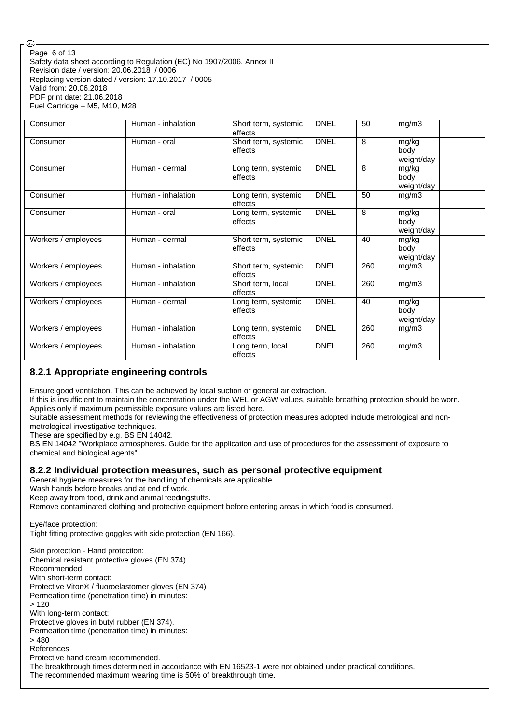Safety data sheet according to Regulation (EC) No 1907/2006, Annex II Revision date / version: 20.06.2018 / 0006 Replacing version dated / version: 17.10.2017 / 0005 Valid from: 20.06.2018 PDF print date: 21.06.2018 Fuel Cartridge – M5, M10, M28 Page 6 of 13

| Consumer            | Human - inhalation | Short term, systemic<br>effects | <b>DNEL</b> | 50  | mg/m3                       |
|---------------------|--------------------|---------------------------------|-------------|-----|-----------------------------|
| Consumer            | Human - oral       | Short term, systemic<br>effects | <b>DNEL</b> | 8   | mg/kg<br>body<br>weight/day |
| Consumer            | Human - dermal     | Long term, systemic<br>effects  | <b>DNEL</b> | 8   | mg/kg<br>body<br>weight/day |
| Consumer            | Human - inhalation | Long term, systemic<br>effects  | <b>DNEL</b> | 50  | mg/m3                       |
| Consumer            | Human - oral       | Long term, systemic<br>effects  | <b>DNEL</b> | 8   | mg/kg<br>body<br>weight/day |
| Workers / employees | Human - dermal     | Short term, systemic<br>effects | <b>DNEL</b> | 40  | mg/kg<br>body<br>weight/day |
| Workers / employees | Human - inhalation | Short term, systemic<br>effects | <b>DNEL</b> | 260 | mg/m3                       |
| Workers / employees | Human - inhalation | Short term, local<br>effects    | <b>DNEL</b> | 260 | mg/m3                       |
| Workers / employees | Human - dermal     | Long term, systemic<br>effects  | <b>DNEL</b> | 40  | mg/kg<br>body<br>weight/day |
| Workers / employees | Human - inhalation | Long term, systemic<br>effects  | <b>DNEL</b> | 260 | mg/m3                       |
| Workers / employees | Human - inhalation | Long term, local<br>effects     | <b>DNEL</b> | 260 | mg/m3                       |

## **8.2.1 Appropriate engineering controls**

Ensure good ventilation. This can be achieved by local suction or general air extraction.

If this is insufficient to maintain the concentration under the WEL or AGW values, suitable breathing protection should be worn. Applies only if maximum permissible exposure values are listed here.

Suitable assessment methods for reviewing the effectiveness of protection measures adopted include metrological and nonmetrological investigative techniques.

These are specified by e.g. BS EN 14042.

BS EN 14042 "Workplace atmospheres. Guide for the application and use of procedures for the assessment of exposure to chemical and biological agents".

## **8.2.2 Individual protection measures, such as personal protective equipment**

General hygiene measures for the handling of chemicals are applicable.

Wash hands before breaks and at end of work.

Keep away from food, drink and animal feedingstuffs.

Remove contaminated clothing and protective equipment before entering areas in which food is consumed.

Eye/face protection:

Tight fitting protective goggles with side protection (EN 166).

Skin protection - Hand protection: Chemical resistant protective gloves (EN 374). Recommended With short-term contact: Protective Viton® / fluoroelastomer gloves (EN 374) Permeation time (penetration time) in minutes: > 120 With long-term contact: Protective gloves in butyl rubber (EN 374). Permeation time (penetration time) in minutes:  $> 480$ References Protective hand cream recommended. The breakthrough times determined in accordance with EN 16523-1 were not obtained under practical conditions. The recommended maximum wearing time is 50% of breakthrough time.

@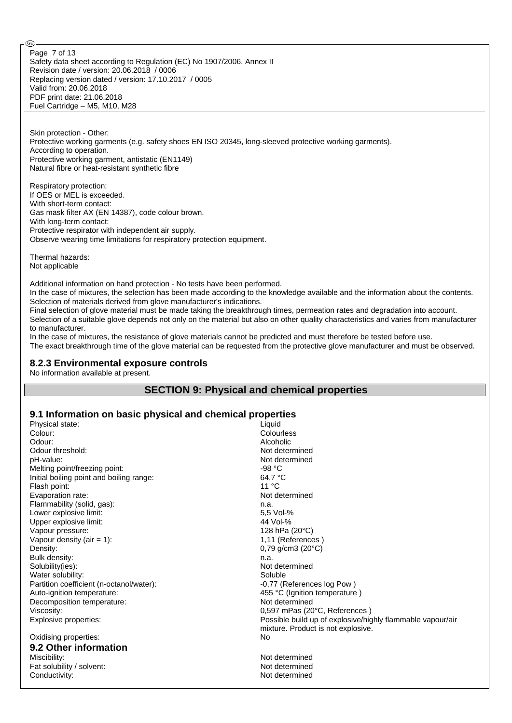Safety data sheet according to Regulation (EC) No 1907/2006, Annex II Revision date / version: 20.06.2018 / 0006 Replacing version dated / version: 17.10.2017 / 0005 Valid from: 20.06.2018 PDF print date: 21.06.2018 Fuel Cartridge – M5, M10, M28 Page 7 of 13

Skin protection - Other: Protective working garments (e.g. safety shoes EN ISO 20345, long-sleeved protective working garments). According to operation. Protective working garment, antistatic (EN1149) Natural fibre or heat-resistant synthetic fibre

Respiratory protection: If OES or MEL is exceeded. With short-term contact: Gas mask filter AX (EN 14387), code colour brown. With long-term contact: Protective respirator with independent air supply. Observe wearing time limitations for respiratory protection equipment.

Thermal hazards: Not applicable

@

Additional information on hand protection - No tests have been performed.

In the case of mixtures, the selection has been made according to the knowledge available and the information about the contents. Selection of materials derived from glove manufacturer's indications.

Final selection of glove material must be made taking the breakthrough times, permeation rates and degradation into account. Selection of a suitable glove depends not only on the material but also on other quality characteristics and varies from manufacturer to manufacturer.

In the case of mixtures, the resistance of glove materials cannot be predicted and must therefore be tested before use. The exact breakthrough time of the glove material can be requested from the protective glove manufacturer and must be observed.

### **8.2.3 Environmental exposure controls**

No information available at present.

## **SECTION 9: Physical and chemical properties**

## **9.1 Information on basic physical and chemical properties**

| Physical state:                          | Liquid                                                     |
|------------------------------------------|------------------------------------------------------------|
| Colour:                                  | Colourless                                                 |
| Odour:                                   | Alcoholic                                                  |
| Odour threshold:                         | Not determined                                             |
| pH-value:                                | Not determined                                             |
| Melting point/freezing point:            | $-98 °C$                                                   |
| Initial boiling point and boiling range: | 64.7 °C                                                    |
| Flash point:                             | 11 $\degree$ C                                             |
| Evaporation rate:                        | Not determined                                             |
| Flammability (solid, gas):               | n.a.                                                       |
| Lower explosive limit:                   | 5.5 Vol-%                                                  |
| Upper explosive limit:                   | 44 Vol-%                                                   |
| Vapour pressure:                         | 128 hPa $(20^{\circ}C)$                                    |
| Vapour density (air = $1$ ):             | 1,11 (References)                                          |
| Density:                                 | $0,79$ g/cm3 (20 $^{\circ}$ C)                             |
| Bulk density:                            | n.a.                                                       |
| Solubility(ies):                         | Not determined                                             |
| Water solubility:                        | Soluble                                                    |
| Partition coefficient (n-octanol/water): | -0,77 (References log Pow)                                 |
| Auto-ignition temperature:               | 455 °C (Ignition temperature)                              |
| Decomposition temperature:               | Not determined                                             |
| Viscosity:                               | 0,597 mPas (20°C, References)                              |
| Explosive properties:                    | Possible build up of explosive/highly flammable vapour/air |
|                                          | mixture. Product is not explosive.                         |
| Oxidising properties:                    | No                                                         |
| 9.2 Other information                    |                                                            |
| Miscibility:                             | Not determined                                             |
| Fat solubility / solvent:                | Not determined                                             |
| Conductivity:                            | Not determined                                             |
|                                          |                                                            |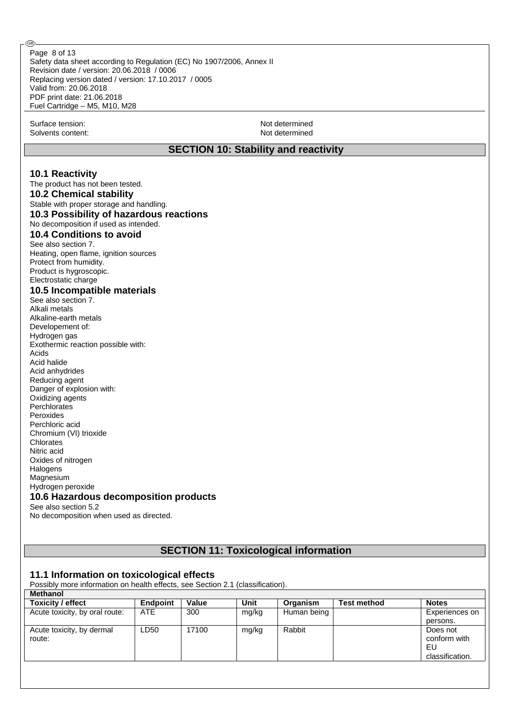Safety data sheet according to Regulation (EC) No 1907/2006, Annex II Revision date / version: 20.06.2018 / 0006 Replacing version dated / version: 17.10.2017 / 0005 Valid from: 20.06.2018 PDF print date: 21.06.2018 Fuel Cartridge – M5, M10, M28 Page 8 of 13

Solvents content: Not determined

@

Surface tension: Not determined

## **SECTION 10: Stability and reactivity**

### **10.1 Reactivity**

The product has not been tested.

## **10.2 Chemical stability**

Stable with proper storage and handling.

## **10.3 Possibility of hazardous reactions**

No decomposition if used as intended.

## **10.4 Conditions to avoid**

See also section 7. Heating, open flame, ignition sources Protect from humidity. Product is hygroscopic. Electrostatic charge

### **10.5 Incompatible materials**

See also section 7. Alkali metals Alkaline-earth metals Developement of: Hydrogen gas Exothermic reaction possible with: Acids Acid halide Acid anhydrides Reducing agent Danger of explosion with: Oxidizing agents **Perchlorates** Peroxides Perchloric acid Chromium (VI) trioxide Chlorates Nitric acid Oxides of nitrogen **Halogens** Magnesium Hydrogen peroxide **10.6 Hazardous decomposition products**

#### See also section 5.2

No decomposition when used as directed.

### **SECTION 11: Toxicological information**

### **11.1 Information on toxicological effects**

Possibly more information on health effects, see Section 2.1 (classification). **Methanol**

| <b>Toxicity / effect</b>            | Endpoint   | Value | Unit  | Organism    | <b>Test method</b> | <b>Notes</b>                                      |
|-------------------------------------|------------|-------|-------|-------------|--------------------|---------------------------------------------------|
| Acute toxicity, by oral route:      | <b>ATE</b> | 300   | mg/kg | Human being |                    | Experiences on                                    |
|                                     |            |       |       |             |                    | persons.                                          |
| Acute toxicity, by dermal<br>route: | LD50       | 17100 | mg/kg | Rabbit      |                    | Does not<br>conform with<br>EU<br>classification. |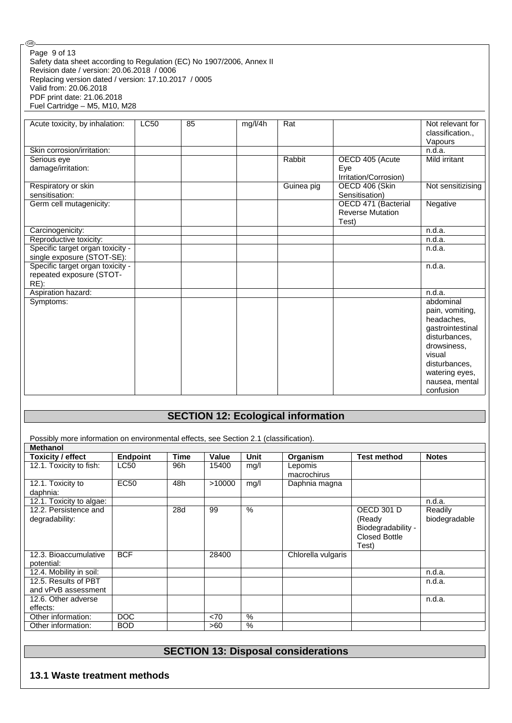Safety data sheet according to Regulation (EC) No 1907/2006, Annex II Revision date / version: 20.06.2018 / 0006 Replacing version dated / version: 17.10.2017 / 0005 Valid from: 20.06.2018 PDF print date: 21.06.2018 Fuel Cartridge – M5, M10, M28 Page 9 of 13

| Acute toxicity, by inhalation:                                          | <b>LC50</b> | 85 | mg/l/4h | Rat        |                                                         | Not relevant for<br>classification<br>Vapours                                                                                                                              |
|-------------------------------------------------------------------------|-------------|----|---------|------------|---------------------------------------------------------|----------------------------------------------------------------------------------------------------------------------------------------------------------------------------|
| Skin corrosion/irritation:                                              |             |    |         |            |                                                         | n.d.a.                                                                                                                                                                     |
| Serious eye<br>damage/irritation:                                       |             |    |         | Rabbit     | OECD 405 (Acute<br>Eye<br>Irritation/Corrosion)         | Mild irritant                                                                                                                                                              |
| Respiratory or skin<br>sensitisation:                                   |             |    |         | Guinea pig | OECD 406 (Skin<br>Sensitisation)                        | Not sensitizising                                                                                                                                                          |
| Germ cell mutagenicity:                                                 |             |    |         |            | OECD 471 (Bacterial<br><b>Reverse Mutation</b><br>Test) | Negative                                                                                                                                                                   |
| Carcinogenicity:                                                        |             |    |         |            |                                                         | n.d.a.                                                                                                                                                                     |
| Reproductive toxicity:                                                  |             |    |         |            |                                                         | n.d.a.                                                                                                                                                                     |
| Specific target organ toxicity -<br>single exposure (STOT-SE):          |             |    |         |            |                                                         | n.d.a.                                                                                                                                                                     |
| Specific target organ toxicity -<br>repeated exposure (STOT-<br>$RE)$ : |             |    |         |            |                                                         | n.d.a.                                                                                                                                                                     |
| Aspiration hazard:                                                      |             |    |         |            |                                                         | n.d.a.                                                                                                                                                                     |
| Symptoms:                                                               |             |    |         |            |                                                         | abdominal<br>pain, vomiting,<br>headaches,<br>gastrointestinal<br>disturbances.<br>drowsiness,<br>visual<br>disturbances,<br>watering eyes,<br>nausea, mental<br>confusion |

# **SECTION 12: Ecological information**

| Possibly more information on environmental effects, see Section 2.1 (classification). |                 |      |        |      |                        |                                                                                    |                          |
|---------------------------------------------------------------------------------------|-----------------|------|--------|------|------------------------|------------------------------------------------------------------------------------|--------------------------|
| <b>Methanol</b>                                                                       |                 |      |        |      |                        |                                                                                    |                          |
| Toxicity / effect                                                                     | <b>Endpoint</b> | Time | Value  | Unit | Organism               | <b>Test method</b>                                                                 | <b>Notes</b>             |
| 12.1. Toxicity to fish:                                                               | <b>LC50</b>     | 96h  | 15400  | mq/l | Lepomis<br>macrochirus |                                                                                    |                          |
| 12.1. Toxicity to<br>daphnia:                                                         | <b>EC50</b>     | 48h  | >10000 | mg/l | Daphnia magna          |                                                                                    |                          |
| 12.1. Toxicity to algae:                                                              |                 |      |        |      |                        |                                                                                    | n.d.a.                   |
| 12.2. Persistence and<br>degradability:                                               |                 | 28d  | 99     | %    |                        | <b>OECD 301 D</b><br>(Ready<br>Biodegradability -<br><b>Closed Bottle</b><br>Test) | Readily<br>biodegradable |
| 12.3. Bioaccumulative<br>potential:                                                   | <b>BCF</b>      |      | 28400  |      | Chlorella vulgaris     |                                                                                    |                          |
| 12.4. Mobility in soil:                                                               |                 |      |        |      |                        |                                                                                    | n.d.a.                   |
| 12.5. Results of PBT<br>and vPvB assessment                                           |                 |      |        |      |                        |                                                                                    | n.d.a.                   |
| 12.6. Other adverse<br>effects:                                                       |                 |      |        |      |                        |                                                                                    | n.d.a.                   |
| Other information:                                                                    | <b>DOC</b>      |      | < 70   | $\%$ |                        |                                                                                    |                          |
| Other information:                                                                    | <b>BOD</b>      |      | >60    | %    |                        |                                                                                    |                          |

## **SECTION 13: Disposal considerations**

## **13.1 Waste treatment methods**

⊛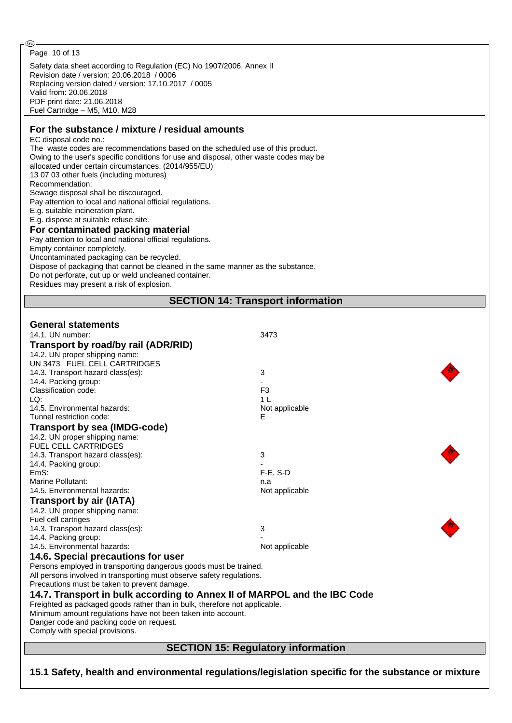#### Page 10 of 13

@

Safety data sheet according to Regulation (EC) No 1907/2006, Annex II Revision date / version: 20.06.2018 / 0006 Replacing version dated / version: 17.10.2017 / 0005 Valid from: 20.06.2018 PDF print date: 21.06.2018 Fuel Cartridge – M5, M10, M28

### **For the substance / mixture / residual amounts**

EC disposal code no.: The waste codes are recommendations based on the scheduled use of this product. Owing to the user's specific conditions for use and disposal, other waste codes may be allocated under certain circumstances. (2014/955/EU) 13 07 03 other fuels (including mixtures) Recommendation: Sewage disposal shall be discouraged. Pay attention to local and national official regulations. E.g. suitable incineration plant. E.g. dispose at suitable refuse site. **For contaminated packing material** Pay attention to local and national official regulations. Empty container completely. Uncontaminated packaging can be recycled. Dispose of packaging that cannot be cleaned in the same manner as the substance. Do not perforate, cut up or weld uncleaned container. Residues may present a risk of explosion. **SECTION 14: Transport information**

## **General statements**

| 961161 81 31 81 161 161 163<br>14.1. UN number:                            | 3473                                      |  |  |  |  |  |
|----------------------------------------------------------------------------|-------------------------------------------|--|--|--|--|--|
| Transport by road/by rail (ADR/RID)                                        |                                           |  |  |  |  |  |
| 14.2. UN proper shipping name:                                             |                                           |  |  |  |  |  |
| UN 3473 FUEL CELL CARTRIDGES                                               |                                           |  |  |  |  |  |
| 14.3. Transport hazard class(es):                                          | 3                                         |  |  |  |  |  |
| 14.4. Packing group:                                                       |                                           |  |  |  |  |  |
| Classification code:                                                       | F <sub>3</sub>                            |  |  |  |  |  |
| LQ:                                                                        | 1 <sub>L</sub>                            |  |  |  |  |  |
| 14.5. Environmental hazards:                                               | Not applicable                            |  |  |  |  |  |
| Tunnel restriction code:                                                   | Е                                         |  |  |  |  |  |
| Transport by sea (IMDG-code)                                               |                                           |  |  |  |  |  |
| 14.2. UN proper shipping name:                                             |                                           |  |  |  |  |  |
| FUEL CELL CARTRIDGES                                                       |                                           |  |  |  |  |  |
| 14.3. Transport hazard class(es):                                          | 3                                         |  |  |  |  |  |
| 14.4. Packing group:                                                       |                                           |  |  |  |  |  |
| EmS:                                                                       | $F-E$ , S-D                               |  |  |  |  |  |
| Marine Pollutant:                                                          | n.a                                       |  |  |  |  |  |
| 14.5. Environmental hazards:                                               | Not applicable                            |  |  |  |  |  |
| <b>Transport by air (IATA)</b>                                             |                                           |  |  |  |  |  |
| 14.2. UN proper shipping name:                                             |                                           |  |  |  |  |  |
| Fuel cell cartriges                                                        |                                           |  |  |  |  |  |
| 14.3. Transport hazard class(es):                                          | 3                                         |  |  |  |  |  |
| 14.4. Packing group:                                                       |                                           |  |  |  |  |  |
| 14.5. Environmental hazards:                                               | Not applicable                            |  |  |  |  |  |
| 14.6. Special precautions for user                                         |                                           |  |  |  |  |  |
| Persons employed in transporting dangerous goods must be trained.          |                                           |  |  |  |  |  |
| All persons involved in transporting must observe safety regulations.      |                                           |  |  |  |  |  |
| Precautions must be taken to prevent damage.                               |                                           |  |  |  |  |  |
| 14.7. Transport in bulk according to Annex II of MARPOL and the IBC Code   |                                           |  |  |  |  |  |
| Freighted as packaged goods rather than in bulk, therefore not applicable. |                                           |  |  |  |  |  |
| Minimum amount regulations have not been taken into account.               |                                           |  |  |  |  |  |
| Danger code and packing code on request.                                   |                                           |  |  |  |  |  |
| Comply with special provisions.                                            |                                           |  |  |  |  |  |
|                                                                            |                                           |  |  |  |  |  |
|                                                                            | <b>SECTION 15: Regulatory information</b> |  |  |  |  |  |

**15.1 Safety, health and environmental regulations/legislation specific for the substance or mixture**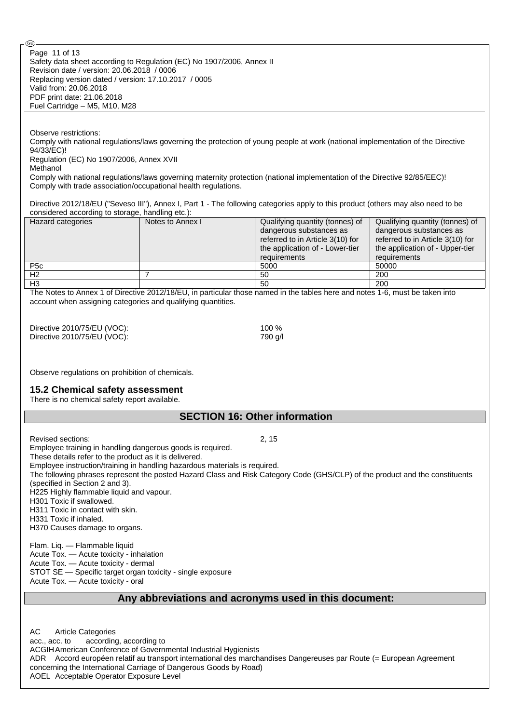Safety data sheet according to Regulation (EC) No 1907/2006, Annex II Revision date / version: 20.06.2018 / 0006 Replacing version dated / version: 17.10.2017 / 0005 Valid from: 20.06.2018 PDF print date: 21.06.2018 Fuel Cartridge – M5, M10, M28 Page 11 of 13

Observe restrictions:

Comply with national regulations/laws governing the protection of young people at work (national implementation of the Directive 94/33/EC)!

Regulation (EC) No 1907/2006, Annex XVII

Methanol

Œ

Comply with national regulations/laws governing maternity protection (national implementation of the Directive 92/85/EEC)! Comply with trade association/occupational health regulations.

Directive 2012/18/EU ("Seveso III"), Annex I, Part 1 - The following categories apply to this product (others may also need to be considered according to storage, handling etc.):

| Hazard categories | Notes to Annex I | Qualifying quantity (tonnes) of  | Qualifying quantity (tonnes) of  |
|-------------------|------------------|----------------------------------|----------------------------------|
|                   |                  | dangerous substances as          | dangerous substances as          |
|                   |                  | referred to in Article 3(10) for | referred to in Article 3(10) for |
|                   |                  | the application of - Lower-tier  | the application of - Upper-tier  |
|                   |                  | requirements                     | requirements                     |
| P <sub>5</sub> c  |                  | 5000                             | 50000                            |
| H2                |                  | 50                               | 200                              |
| H <sub>3</sub>    |                  | 50                               | 200                              |

The Notes to Annex 1 of Directive 2012/18/EU, in particular those named in the tables here and notes 1-6, must be taken into account when assigning categories and qualifying quantities.

| Directive 2010/75/EU (VOC): | 100 %   |
|-----------------------------|---------|
| Directive 2010/75/EU (VOC): | 790 g/l |

Observe regulations on prohibition of chemicals.

### **15.2 Chemical safety assessment**

There is no chemical safety report available.

### **SECTION 16: Other information**

Revised sections: 2, 15

Employee training in handling dangerous goods is required. These details refer to the product as it is delivered.

Employee instruction/training in handling hazardous materials is required.

The following phrases represent the posted Hazard Class and Risk Category Code (GHS/CLP) of the product and the constituents (specified in Section 2 and 3).

H225 Highly flammable liquid and vapour.

H301 Toxic if swallowed.

H311 Toxic in contact with skin.

H331 Toxic if inhaled.

H370 Causes damage to organs.

Flam. Liq. — Flammable liquid Acute Tox. — Acute toxicity - inhalation Acute Tox. — Acute toxicity - dermal

STOT SE — Specific target organ toxicity - single exposure

Acute Tox. — Acute toxicity - oral

## **Any abbreviations and acronyms used in this document:**

AC Article Categories acc., acc. to according, according to ACGIHAmerican Conference of Governmental Industrial Hygienists ADR Accord européen relatif au transport international des marchandises Dangereuses par Route (= European Agreement concerning the International Carriage of Dangerous Goods by Road) AOEL Acceptable Operator Exposure Level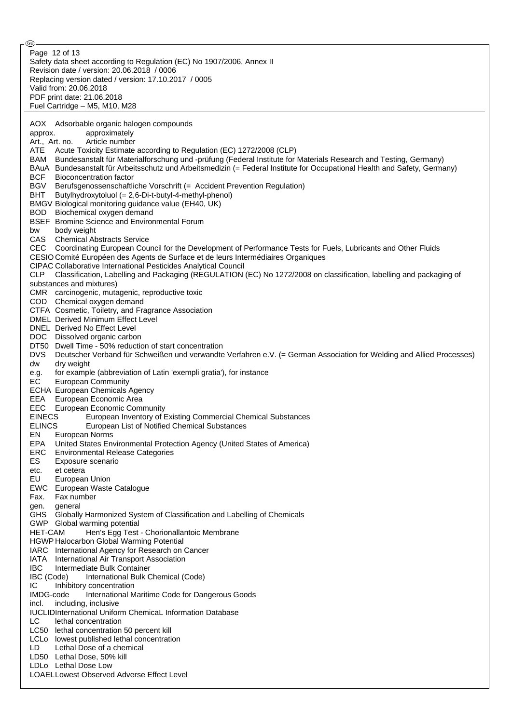@ Page 12 of 13Safety data sheet according to Regulation (EC) No 1907/2006, Annex II Revision date / version: 20.06.2018 / 0006 Replacing version dated / version: 17.10.2017 / 0005 Valid from: 20.06.2018 PDF print date: 21.06.2018 Fuel Cartridge – M5, M10, M28 AOX Adsorbable organic halogen compounds approx. approximately Art., Art. no. Article number ATE Acute Toxicity Estimate according to Regulation (EC) 1272/2008 (CLP) BAM Bundesanstalt für Materialforschung und -prüfung (Federal Institute for Materials Research and Testing, Germany) BAuA Bundesanstalt für Arbeitsschutz und Arbeitsmedizin (= Federal Institute for Occupational Health and Safety, Germany) BCF Bioconcentration factor BGV Berufsgenossenschaftliche Vorschrift (= Accident Prevention Regulation) BHT Butylhydroxytoluol (= 2,6-Di-t-butyl-4-methyl-phenol) BMGV Biological monitoring guidance value (EH40, UK) BOD Biochemical oxygen demand BSEF Bromine Science and Environmental Forum bw body weight CAS Chemical Abstracts Service CEC Coordinating European Council for the Development of Performance Tests for Fuels, Lubricants and Other Fluids CESIO Comité Européen des Agents de Surface et de leurs Intermédiaires Organiques CIPAC Collaborative International Pesticides Analytical Council CLP Classification, Labelling and Packaging (REGULATION (EC) No 1272/2008 on classification, labelling and packaging of substances and mixtures) CMR carcinogenic, mutagenic, reproductive toxic COD Chemical oxygen demand CTFA Cosmetic, Toiletry, and Fragrance Association DMEL Derived Minimum Effect Level DNEL Derived No Effect Level DOC Dissolved organic carbon DT50 Dwell Time - 50% reduction of start concentration DVS Deutscher Verband für Schweißen und verwandte Verfahren e.V. (= German Association for Welding and Allied Processes) dw dry weight e.g. for example (abbreviation of Latin 'exempli gratia'), for instance<br>EC European Community European Community ECHA European Chemicals Agency EEA European Economic Area EEC European Economic Community EINECS European Inventory of Existing Commercial Chemical Substances ELINCS European List of Notified Chemical Substances EN European Norms EPA United States Environmental Protection Agency (United States of America) ERC Environmental Release Categories ES Exposure scenario etc. et cetera EU European Union EWC European Waste Catalogue Fax. Fax number gen. general GHS Globally Harmonized System of Classification and Labelling of Chemicals GWP Global warming potential HET-CAM Hen's Egg Test - Chorionallantoic Membrane HGWP Halocarbon Global Warming Potential IARC International Agency for Research on Cancer IATA International Air Transport Association **IBC** Intermediate Bulk Container<br>**IBC** (Code) International Bulk C International Bulk Chemical (Code) IC Inhibitory concentration IMDG-code International Maritime Code for Dangerous Goods incl. including, inclusive IUCLIDInternational Uniform ChemicaL Information Database LC lethal concentration LC50 lethal concentration 50 percent kill LCLo lowest published lethal concentration LD Lethal Dose of a chemical LD50 Lethal Dose, 50% kill LDLo Lethal Dose Low LOAELLowest Observed Adverse Effect Level